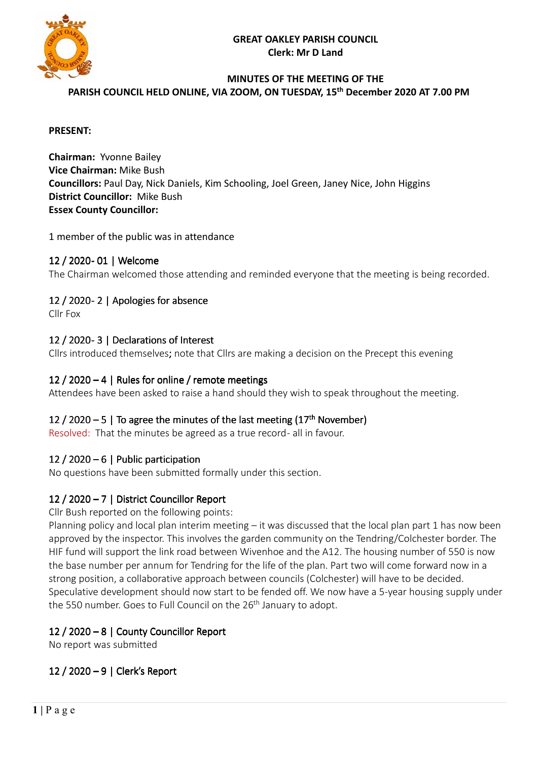



# **MINUTES OF THE MEETING OF THE**

**PARISH COUNCIL HELD ONLINE, VIA ZOOM, ON TUESDAY, 15 th December 2020 AT 7.00 PM** 

#### **PRESENT:**

**Chairman:** Yvonne Bailey **Vice Chairman:** Mike Bush **Councillors:** Paul Day, Nick Daniels, Kim Schooling, Joel Green, Janey Nice, John Higgins **District Councillor:** Mike Bush **Essex County Councillor:** 

1 member of the public was in attendance

### 12 / 2020- 01 | Welcome

The Chairman welcomed those attending and reminded everyone that the meeting is being recorded.

### 12 / 2020-2 | Apologies for absence

Cllr Fox

#### 12 / 2020 - 3 | Declarations of Interest

Cllrs introduced themselves; note that Cllrs are making a decision on the Precept this evening

#### 12 / 2020 – 4 | Rules for online / remote meetings

Attendees have been asked to raise a hand should they wish to speak throughout the meeting.

### 12 / 2020 – 5 | To agree the minutes of the last meeting  $(17<sup>th</sup>$  November)

Resolved: That the minutes be agreed as a true record- all in favour.

#### 12 / 2020 – 6 | Public participation

No questions have been submitted formally under this section.

### 12 / 2020 – 7 | District Councillor Report

Cllr Bush reported on the following points:

Planning policy and local plan interim meeting – it was discussed that the local plan part 1 has now been approved by the inspector. This involves the garden community on the Tendring/Colchester border. The HIF fund will support the link road between Wivenhoe and the A12. The housing number of 550 is now the base number per annum for Tendring for the life of the plan. Part two will come forward now in a strong position, a collaborative approach between councils (Colchester) will have to be decided. Speculative development should now start to be fended off. We now have a 5-year housing supply under the 550 number. Goes to Full Council on the 26<sup>th</sup> January to adopt.

## 12 / 2020 – 8 | County Councillor Report

No report was submitted

12 / 2020 – 9 | Clerk's Report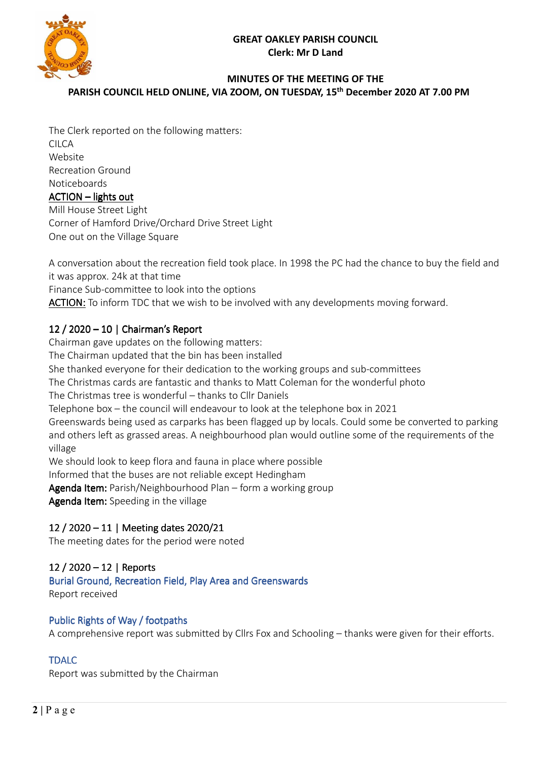## **GREAT OAKLEY PARISH COUNCIL Clerk: Mr D Land**



## **MINUTES OF THE MEETING OF THE PARISH COUNCIL HELD ONLINE, VIA ZOOM, ON TUESDAY, 15 th December 2020 AT 7.00 PM**

The Clerk reported on the following matters: CILCA Website Recreation Ground **Noticeboards**  $ACTION$  – lights out Mill House Street Light Corner of Hamford Drive/Orchard Drive Street Light One out on the Village Square

A conversation about the recreation field took place. In 1998 the PC had the chance to buy the field and it was approx. 24k at that time Finance Sub-committee to look into the options ACTION: To inform TDC that we wish to be involved with any developments moving forward.

# 12 / 2020 – 10 | Chairman's Report

Chairman gave updates on the following matters: The Chairman updated that the bin has been installed She thanked everyone for their dedication to the working groups and sub-committees The Christmas cards are fantastic and thanks to Matt Coleman for the wonderful photo The Christmas tree is wonderful – thanks to Cllr Daniels Telephone box – the council will endeavour to look at the telephone box in 2021 Greenswards being used as carparks has been flagged up by locals. Could some be converted to parking and others left as grassed areas. A neighbourhood plan would outline some of the requirements of the village We should look to keep flora and fauna in place where possible Informed that the buses are not reliable except Hedingham Agenda Item: Parish/Neighbourhood Plan – form a working group

Agenda Item: Speeding in the village

# 12 / 2020 – 11 | Meeting dates 2020/21

The meeting dates for the period were noted

# 12 / 2020 – 12 | Reports

Burial Ground, Recreation Field, Play Area and Greenswards Report received

## Public Rights of Way / footpaths

A comprehensive report was submitted by Cllrs Fox and Schooling – thanks were given for their efforts.

# **TDALC**

Report was submitted by the Chairman